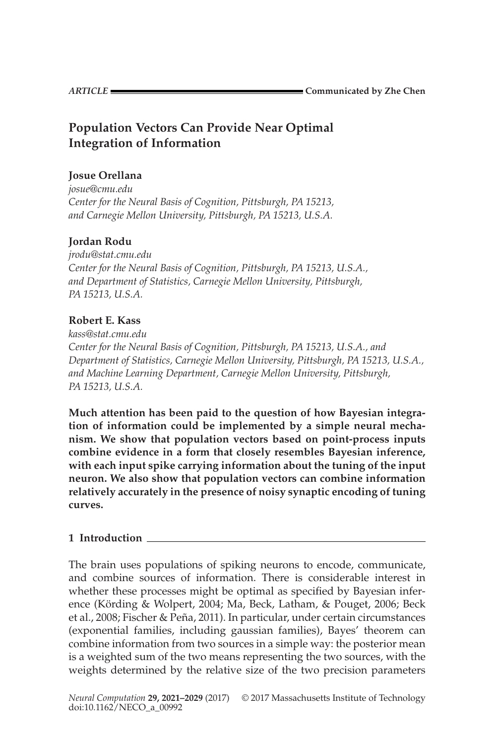# **Population Vectors Can Provide Near Optimal Integration of Information**

# **Josue Orellana**

*josue@cmu.edu Center for the Neural Basis of Cognition, Pittsburgh, PA 15213, and Carnegie Mellon University, Pittsburgh, PA 15213, U.S.A.*

# **Jordan Rodu**

*jrodu@stat.cmu.edu Center for the Neural Basis of Cognition, Pittsburgh, PA 15213, U.S.A., and Department of Statistics, Carnegie Mellon University, Pittsburgh, PA 15213, U.S.A.*

# **Robert E. Kass**

*kass@stat.cmu.edu Center for the Neural Basis of Cognition, Pittsburgh, PA 15213, U.S.A., and Department of Statistics, Carnegie Mellon University, Pittsburgh, PA 15213, U.S.A., and Machine Learning Department, Carnegie Mellon University, Pittsburgh, PA 15213, U.S.A.*

**Much attention has been paid to the question of how Bayesian integration of information could be implemented by a simple neural mechanism. We show that population vectors based on point-process inputs combine evidence in a form that closely resembles Bayesian inference, with each input spike carrying information about the tuning of the input neuron. We also show that population vectors can combine information relatively accurately in the presence of noisy synaptic encoding of tuning curves.**

# **1 Introduction**

The brain uses populations of spiking neurons to encode, communicate, and combine sources of information. There is considerable interest in whether these processes might be optimal as specified by Bayesian inference (Körding & Wolpert, [2004;](#page-8-0) Ma, Beck, Latham, & Pouget, [2006;](#page-8-0) Beck et al., [2008;](#page-7-0) Fischer & Peña, [2011\)](#page-7-0). In particular, under certain circumstances (exponential families, including gaussian families), Bayes' theorem can combine information from two sources in a simple way: the posterior mean is a weighted sum of the two means representing the two sources, with the weights determined by the relative size of the two precision parameters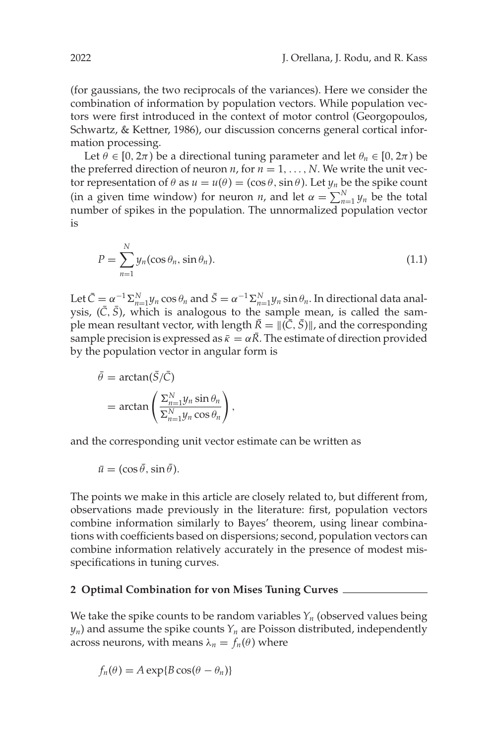(for gaussians, the two reciprocals of the variances). Here we consider the combination of information by population vectors. While population vectors were first introduced in the context of motor control (Georgopoulos, Schwartz, & Kettner, [1986\)](#page-8-0), our discussion concerns general cortical information processing.

Let  $\theta \in [0, 2\pi)$  be a directional tuning parameter and let  $\theta_n \in [0, 2\pi)$  be the preferred direction of neuron  $n$ , for  $n = 1, \ldots, N$ . We write the unit vector representation of  $\theta$  as  $u = u(\theta) = (\cos \theta, \sin \theta)$ . Let  $y_n$  be the spike count (in a given time window) for neuron *n*, and let  $\alpha = \sum_{n=1}^{N} y_n$  be the total number of spikes in the population. The unnormalized population vector is

$$
P = \sum_{n=1}^{N} y_n(\cos \theta_n, \sin \theta_n).
$$
 (1.1)

Let  $\bar{C} = \alpha^{-1} \Sigma_{n=1}^N y_n \cos \theta_n$  and  $\bar{S} = \alpha^{-1} \Sigma_{n=1}^N y_n \sin \theta_n$ . In directional data analysis,  $(\bar{C}, \bar{S})$ , which is analogous to the sample mean, is called the sample mean resultant vector, with length  $\bar{R} = ||(\bar{C}, \bar{S})||$ , and the corresponding sample precision is expressed as  $\bar{\kappa} = \alpha R$ . The estimate of direction provided by the population vector in angular form is

$$
\bar{\theta} = \arctan(\bar{S}/\bar{C})
$$
  
=  $\arctan\left(\frac{\sum_{n=1}^{N} y_n \sin \theta_n}{\sum_{n=1}^{N} y_n \cos \theta_n}\right)$ ,

and the corresponding unit vector estimate can be written as

$$
\bar{u} = (\cos \bar{\theta}, \sin \bar{\theta}).
$$

The points we make in this article are closely related to, but different from, observations made previously in the literature: first, population vectors combine information similarly to Bayes' theorem, using linear combinations with coefficients based on dispersions; second, population vectors can combine information relatively accurately in the presence of modest misspecifications in tuning curves.

### **2 Optimal Combination for von Mises Tuning Curves**

We take the spike counts to be random variables  $Y_n$  (observed values being  $y_n$ ) and assume the spike counts  $Y_n$  are Poisson distributed, independently across neurons, with means  $\lambda_n = f_n(\theta)$  where

$$
f_n(\theta) = A \exp\{B \cos(\theta - \theta_n)\}\
$$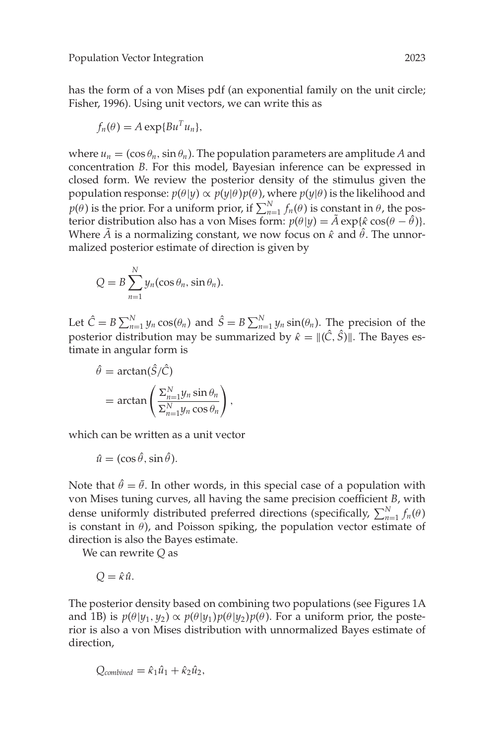has the form of a von Mises pdf (an exponential family on the unit circle; Fisher, [1996\)](#page-7-0). Using unit vectors, we can write this as

$$
f_n(\theta) = A \exp\{Bu^T u_n\},\
$$

where  $u_n = (\cos \theta_n, \sin \theta_n)$ . The population parameters are amplitude A and concentration *B*. For this model, Bayesian inference can be expressed in closed form. We review the posterior density of the stimulus given the population response:  $p(\theta | y) \propto p(y | \theta) p(\theta)$ , where  $p(y | \theta)$  is the likelihood and  $p(\theta)$  is the prior. For a uniform prior, if  $\sum_{n=1}^{N} f_n(\theta)$  is constant in  $\theta$ , the posterior distribution also has a von Mises form:  $p(\theta|\mathbf{y}) = \tilde{A} \exp{\{\hat{\kappa} \cos(\theta - \hat{\theta})\}}$ . Where *A* is a normalizing constant, we now focus on  $\hat{\kappa}$  and  $\hat{\theta}$ . The unnormalized posterior estimate of direction is given by

$$
Q = B \sum_{n=1}^{N} y_n(\cos \theta_n, \sin \theta_n).
$$

Let  $\hat{C} = B \sum_{n=1}^{N} y_n \cos(\theta_n)$  and  $\hat{S} = B \sum_{n=1}^{N} y_n \sin(\theta_n)$ . The precision of the posterior distribution may be summarized by  $\hat{\kappa} = ||(\hat{C}, \hat{S})||$ . The Bayes estimate in angular form is

$$
\hat{\theta} = \arctan(\hat{S}/\hat{C})
$$
  
=  $\arctan\left(\frac{\sum_{n=1}^{N} y_n \sin \theta_n}{\sum_{n=1}^{N} y_n \cos \theta_n}\right)$ ,

which can be written as a unit vector

$$
\hat{u} = (\cos \hat{\theta}, \sin \hat{\theta}).
$$

Note that  $\hat{\theta} = \bar{\theta}$ . In other words, in this special case of a population with von Mises tuning curves, all having the same precision coefficient *B*, with dense uniformly distributed preferred directions (specifically,  $\sum_{n=1}^{N} f_n(\theta)$ is constant in  $\theta$ ), and Poisson spiking, the population vector estimate of direction is also the Bayes estimate.

We can rewrite *Q* as

$$
Q = \hat{\kappa}\hat{u}.
$$

The posterior density based on combining two populations (see Figures 1A and 1B) is  $p(\theta | y_1, y_2) \propto p(\theta | y_1) p(\theta | y_2) p(\theta)$ . For a uniform prior, the posterior is also a von Mises distribution with unnormalized Bayes estimate of direction,

$$
Q_{combined} = \hat{\kappa}_1 \hat{u}_1 + \hat{\kappa}_2 \hat{u}_2,
$$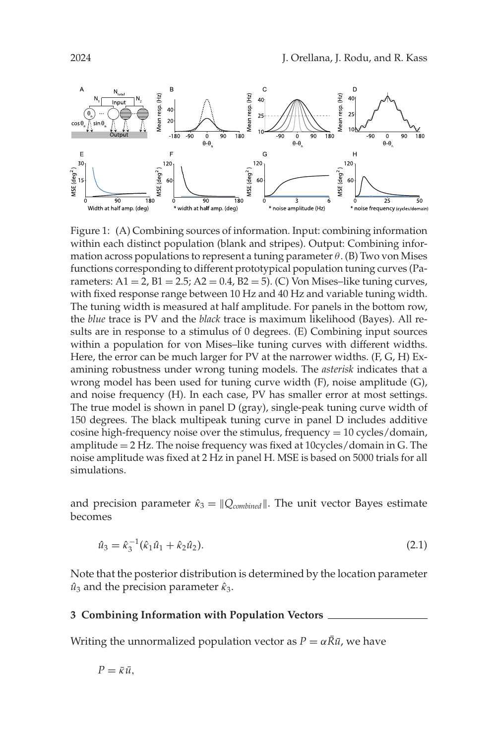

Figure 1: (A) Combining sources of information. Input: combining information within each distinct population (blank and stripes). Output: Combining information across populations to represent a tuning parameter  $\theta$ . (B) Two von Mises functions corresponding to different prototypical population tuning curves (Parameters:  $A1 = 2$ ,  $B1 = 2.5$ ;  $A2 = 0.4$ ,  $B2 = 5$ ). (C) Von Mises-like tuning curves, with fixed response range between 10 Hz and 40 Hz and variable tuning width. The tuning width is measured at half amplitude. For panels in the bottom row, the *blue* trace is PV and the *black* trace is maximum likelihood (Bayes). All results are in response to a stimulus of 0 degrees. (E) Combining input sources within a population for von Mises–like tuning curves with different widths. Here, the error can be much larger for PV at the narrower widths. (F, G, H) Examining robustness under wrong tuning models. The *asterisk* indicates that a wrong model has been used for tuning curve width (F), noise amplitude (G), and noise frequency (H). In each case, PV has smaller error at most settings. The true model is shown in panel D (gray), single-peak tuning curve width of 150 degrees. The black multipeak tuning curve in panel D includes additive cosine high-frequency noise over the stimulus, frequency  $= 10$  cycles/domain, amplitude = 2 Hz. The noise frequency was fixed at 10cycles/domain in G. The noise amplitude was fixed at 2 Hz in panel H. MSE is based on 5000 trials for all simulations.

and precision parameter  $\hat{\kappa}_3 = ||Q_{\text{combined}}||$ . The unit vector Bayes estimate becomes

$$
\hat{u}_3 = \hat{\kappa}_3^{-1}(\hat{\kappa}_1 \hat{u}_1 + \hat{\kappa}_2 \hat{u}_2). \tag{2.1}
$$

Note that the posterior distribution is determined by the location parameter  $\hat{u}_3$  and the precision parameter  $\hat{\kappa}_3$ .

### **3 Combining Information with Population Vectors**

Writing the unnormalized population vector as  $P = \alpha \bar{R} \bar{u}$ , we have

$$
P = \bar{\kappa} \bar{u},
$$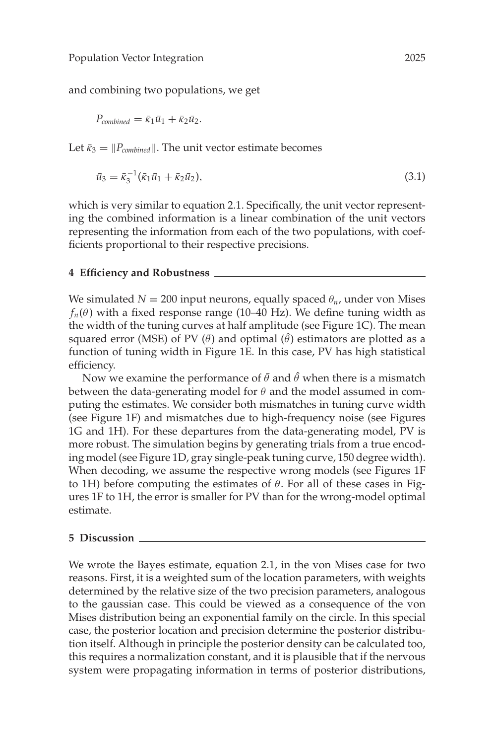and combining two populations, we get

$$
P_{combined} = \bar{\kappa}_1 \bar{u}_1 + \bar{\kappa}_2 \bar{u}_2.
$$

Let  $\bar{\kappa}_3 = ||P_{combined}||$ . The unit vector estimate becomes

$$
\bar{u}_3 = \bar{\kappa}_3^{-1} (\bar{\kappa}_1 \bar{u}_1 + \bar{\kappa}_2 \bar{u}_2), \tag{3.1}
$$

which is very similar to equation 2.1. Specifically, the unit vector representing the combined information is a linear combination of the unit vectors representing the information from each of the two populations, with coefficients proportional to their respective precisions.

### **4 Efficiency and Robustness**

We simulated  $N = 200$  input neurons, equally spaced  $\theta_n$ , under von Mises  $f_n(\theta)$  with a fixed response range (10–40 Hz). We define tuning width as the width of the tuning curves at half amplitude (see Figure 1C). The mean squared error (MSE) of PV  $(\bar{\theta})$  and optimal  $(\hat{\theta})$  estimators are plotted as a function of tuning width in Figure 1E. In this case, PV has high statistical efficiency.

Now we examine the performance of  $\bar{\theta}$  and  $\hat{\theta}$  when there is a mismatch between the data-generating model for  $\theta$  and the model assumed in computing the estimates. We consider both mismatches in tuning curve width (see Figure 1F) and mismatches due to high-frequency noise (see Figures 1G and 1H). For these departures from the data-generating model, PV is more robust. The simulation begins by generating trials from a true encoding model (see Figure 1D, gray single-peak tuning curve, 150 degree width). When decoding, we assume the respective wrong models (see Figures 1F to 1H) before computing the estimates of  $\theta$ . For all of these cases in Figures 1F to 1H, the error is smaller for PV than for the wrong-model optimal estimate.

#### **5 Discussion**

We wrote the Bayes estimate, equation 2.1, in the von Mises case for two reasons. First, it is a weighted sum of the location parameters, with weights determined by the relative size of the two precision parameters, analogous to the gaussian case. This could be viewed as a consequence of the von Mises distribution being an exponential family on the circle. In this special case, the posterior location and precision determine the posterior distribution itself. Although in principle the posterior density can be calculated too, this requires a normalization constant, and it is plausible that if the nervous system were propagating information in terms of posterior distributions,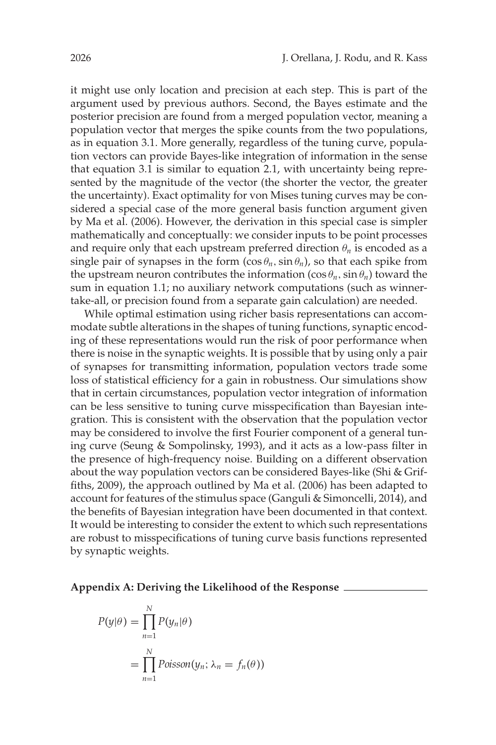it might use only location and precision at each step. This is part of the argument used by previous authors. Second, the Bayes estimate and the posterior precision are found from a merged population vector, meaning a population vector that merges the spike counts from the two populations, as in equation 3.1. More generally, regardless of the tuning curve, population vectors can provide Bayes-like integration of information in the sense that equation 3.1 is similar to equation 2.1, with uncertainty being represented by the magnitude of the vector (the shorter the vector, the greater the uncertainty). Exact optimality for von Mises tuning curves may be considered a special case of the more general basis function argument given by Ma et al. [\(2006\)](#page-8-0). However, the derivation in this special case is simpler mathematically and conceptually: we consider inputs to be point processes and require only that each upstream preferred direction  $\theta_n$  is encoded as a single pair of synapses in the form  $(\cos \theta_n, \sin \theta_n)$ , so that each spike from the upstream neuron contributes the information  $(\cos \theta_n, \sin \theta_n)$  toward the sum in equation 1.1; no auxiliary network computations (such as winnertake-all, or precision found from a separate gain calculation) are needed.

While optimal estimation using richer basis representations can accommodate subtle alterations in the shapes of tuning functions, synaptic encoding of these representations would run the risk of poor performance when there is noise in the synaptic weights. It is possible that by using only a pair of synapses for transmitting information, population vectors trade some loss of statistical efficiency for a gain in robustness. Our simulations show that in certain circumstances, population vector integration of information can be less sensitive to tuning curve misspecification than Bayesian integration. This is consistent with the observation that the population vector may be considered to involve the first Fourier component of a general tuning curve (Seung & Sompolinsky, [1993\)](#page-8-0), and it acts as a low-pass filter in the presence of high-frequency noise. Building on a different observation about the way population vectors can be considered Bayes-like (Shi & Griffiths, [2009\)](#page-8-0), the approach outlined by Ma et al. [\(2006\)](#page-8-0) has been adapted to account for features of the stimulus space (Ganguli & Simoncelli, [2014\)](#page-8-0), and the benefits of Bayesian integration have been documented in that context. It would be interesting to consider the extent to which such representations are robust to misspecifications of tuning curve basis functions represented by synaptic weights.

#### **Appendix A: Deriving the Likelihood of the Response**

$$
P(y|\theta) = \prod_{n=1}^{N} P(y_n|\theta)
$$
  
= 
$$
\prod_{n=1}^{N} Poisson(y_n; \lambda_n = f_n(\theta))
$$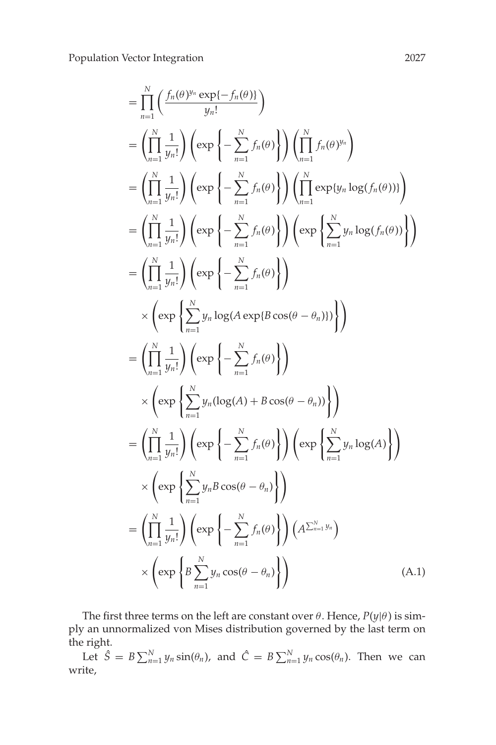Population Vector Integration 2027

$$
= \prod_{n=1}^{N} \left( \frac{f_n(\theta)^{y_n} \exp\{-f_n(\theta)\}}{y_n!} \right)
$$
  
\n
$$
= \left( \prod_{n=1}^{N} \frac{1}{y_n!} \right) \left( \exp\left\{-\sum_{n=1}^{N} f_n(\theta) \right\} \right) \left( \prod_{n=1}^{N} f_n(\theta)^{y_n} \right)
$$
  
\n
$$
= \left( \prod_{n=1}^{N} \frac{1}{y_n!} \right) \left( \exp\left\{-\sum_{n=1}^{N} f_n(\theta) \right\} \right) \left( \prod_{n=1}^{N} \exp\{y_n \log(f_n(\theta))\} \right)
$$
  
\n
$$
= \left( \prod_{n=1}^{N} \frac{1}{y_n!} \right) \left( \exp\left\{-\sum_{n=1}^{N} f_n(\theta) \right\} \right) \left( \exp\left\{\sum_{n=1}^{N} y_n \log(f_n(\theta)) \right\} \right)
$$
  
\n
$$
= \left( \prod_{n=1}^{N} \frac{1}{y_n!} \right) \left( \exp\left\{-\sum_{n=1}^{N} f_n(\theta) \right\} \right)
$$
  
\n
$$
\times \left( \exp\left\{\sum_{n=1}^{N} y_n \log(A \exp\{B \cos(\theta - \theta_n)\} \right\} \right)
$$
  
\n
$$
= \left( \prod_{n=1}^{N} \frac{1}{y_n!} \right) \left( \exp\left\{-\sum_{n=1}^{N} f_n(\theta) \right\} \right)
$$
  
\n
$$
\times \left( \exp\left\{\sum_{n=1}^{N} y_n (\log(A) + B \cos(\theta - \theta_n)) \right\} \right)
$$
  
\n
$$
= \left( \prod_{n=1}^{N} \frac{1}{y_n!} \right) \left( \exp\left\{-\sum_{n=1}^{N} f_n(\theta) \right\} \right) \left( \exp\left\{\sum_{n=1}^{N} y_n \log(A) \right\} \right)
$$
  
\n
$$
\times \left( \exp\left\{\sum_{n=1}^{N} y_n B \cos(\theta - \theta_n) \right\} \right)
$$
  
\n
$$
= \left( \prod_{n=1}^{N} \
$$

The first three terms on the left are constant over  $\theta$ . Hence,  $P(y|\theta)$  is simply an unnormalized von Mises distribution governed by the last term on the right.

Let  $\hat{S} = B \sum_{n=1}^{N} y_n \sin(\theta_n)$ , and  $\hat{C} = B \sum_{n=1}^{N} y_n \cos(\theta_n)$ . Then we can write,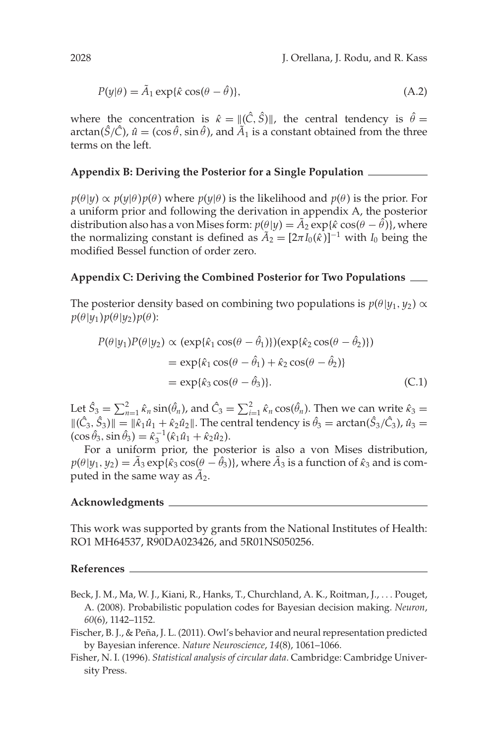$$
P(y|\theta) = \tilde{A}_1 \exp{\{\hat{\kappa} \cos(\theta - \hat{\theta})\}},\tag{A.2}
$$

where the concentration is  $\hat{\kappa} = ||(\hat{C}, \hat{S})||$ , the central tendency is  $\hat{\theta} =$ arctan( $\hat{S}/\hat{C}$ ),  $\hat{u} = (\cos \hat{\theta}, \sin \hat{\theta})$ , and  $\tilde{A}_1$  is a constant obtained from the three terms on the left.

### **Appendix B: Deriving the Posterior for a Single Population**

 $p(\theta|y) \propto p(y|\theta)p(\theta)$  where  $p(y|\theta)$  is the likelihood and  $p(\theta)$  is the prior. For a uniform prior and following the derivation in appendix A, the posterior distribution also has a von Mises form:  $p(\theta|y) = \tilde{A}_2 \exp{\{\hat{\kappa} \cos(\theta - \hat{\theta})\}}$ , where the normalizing constant is defined as  $\tilde{A}_2 = [2\pi I_0(\hat{\kappa})]^{-1}$  with  $I_0$  being the modified Bessel function of order zero.

# **Appendix C: Deriving the Combined Posterior for Two Populations**

The posterior density based on combining two populations is  $p(\theta | y_1, y_2) \propto$  $p(\theta | y_1) p(\theta | y_2) p(\theta)$ :

$$
P(\theta|y_1)P(\theta|y_2) \propto (\exp{\{\hat{\kappa}_1 \cos(\theta - \hat{\theta}_1)\}})(\exp{\{\hat{\kappa}_2 \cos(\theta - \hat{\theta}_2)\}})
$$
  
=  $\exp{\{\hat{\kappa}_1 \cos(\theta - \hat{\theta}_1) + \hat{\kappa}_2 \cos(\theta - \hat{\theta}_2)\}}$   
=  $\exp{\{\hat{\kappa}_3 \cos(\theta - \hat{\theta}_3)\}}.$  (C.1)

Let  $\hat{S}_3 = \sum_{n=1}^2 \hat{\kappa}_n \sin(\hat{\theta}_n)$ , and  $\hat{C}_3 = \sum_{i=1}^2 \hat{\kappa}_n \cos(\hat{\theta}_n)$ . Then we can write  $\hat{\kappa}_3 =$  $\|(\hat{C}_3, \hat{S}_3)\| = \|\hat{\kappa}_1\hat{u}_1 + \hat{\kappa}_2\hat{u}_2\|$ . The central tendency is  $\hat{\theta}_3 = \arctan(\hat{S}_3/\hat{C}_3)$ ,  $\hat{u}_3 =$  $(\cos \hat{\theta}_3, \sin \hat{\theta}_3) = \hat{\kappa}_3^{-1} (\hat{\kappa}_1 \hat{u}_1 + \hat{\kappa}_2 \hat{u}_2).$ 

For a uniform prior, the posterior is also a von Mises distribution,  $p(\theta|y_1, y_2) = \tilde{A}_3 \exp{\{\hat{\kappa}_3 \cos(\theta - \hat{\theta}_3)\}}$ , where  $\tilde{A}_3$  is a function of  $\hat{\kappa}_3$  and is computed in the same way as  $\tilde{A}_2$ .

#### **Acknowledgments**

This work was supported by grants from the National Institutes of Health: RO1 MH64537, R90DA023426, and 5R01NS050256.

#### **References**

- Beck, J. M., Ma, W. J., Kiani, R., Hanks, T., Churchland, A. K., Roitman, J., ... Pouget, A. (2008). Probabilistic population codes for Bayesian decision making. *Neuron*, *60*(6), 1142–1152.
- Fischer, B. J., & Peña, J. L. (2011). Owl's behavior and neural representation predicted by Bayesian inference. *Nature Neuroscience*, *14*(8), 1061–1066.
- Fisher, N. I. (1996). *Statistical analysis of circular data*. Cambridge: Cambridge University Press.

<span id="page-7-0"></span>